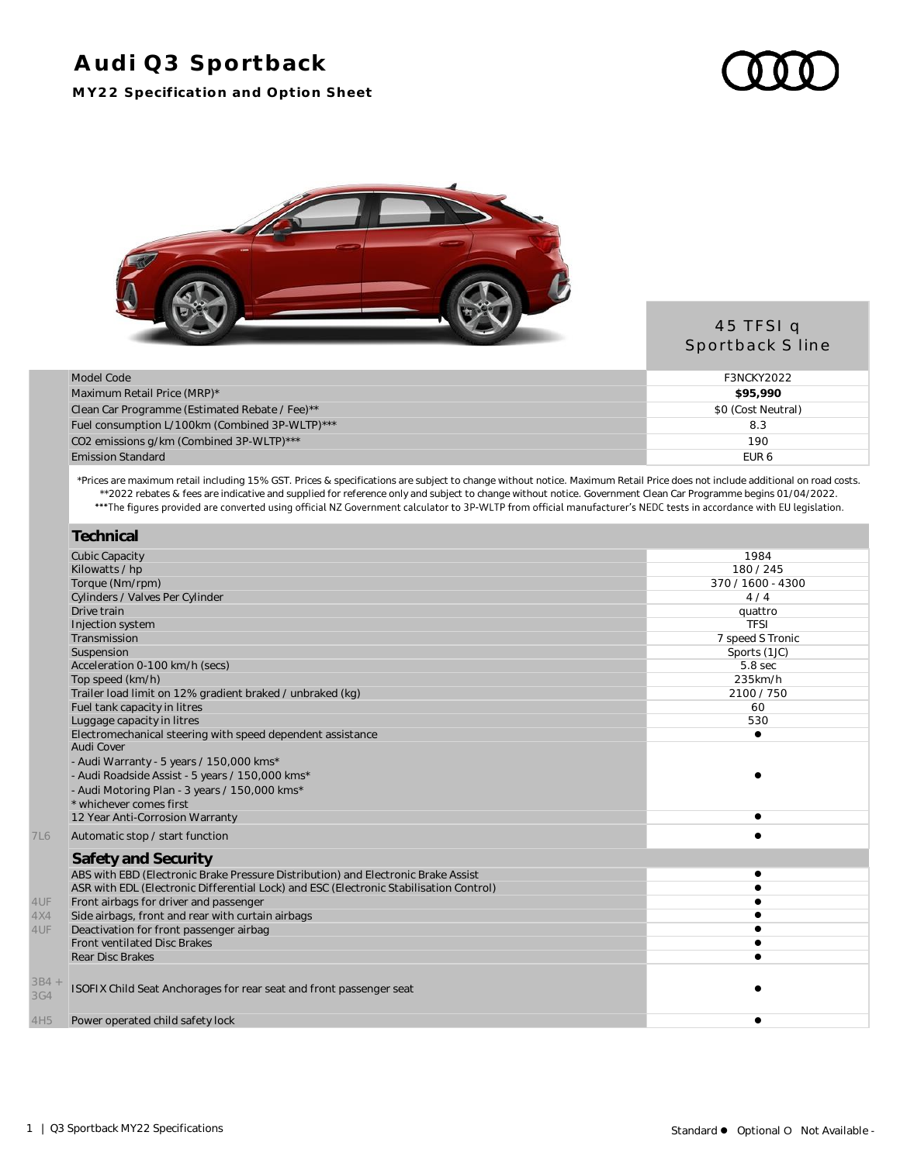# **Audi Q3 Sportback**

**MY22 Specification and Option Sheet**





#### 45 TFSI q Sportback S line

| Model Code                                     | F3NCKY2022         |
|------------------------------------------------|--------------------|
| Maximum Retail Price (MRP)*                    | \$95.990           |
| Clean Car Programme (Estimated Rebate / Fee)** | \$0 (Cost Neutral) |
| Fuel consumption L/100km (Combined 3P-WLTP)*** | 8.3                |
| CO2 emissions g/km (Combined 3P-WLTP)***       | 190                |
| <b>Emission Standard</b>                       | EUR <sub>6</sub>   |

\*Prices are maximum retail including 15% GST. Prices & specifications are subject to change without notice. Maximum Retail Price does not include additional on road costs. \*\*2022 rebates & fees are indicative and supplied for reference only and subject to change without notice. Government Clean Car Programme begins 01/04/2022.

|            | Technical                                                                              |                   |
|------------|----------------------------------------------------------------------------------------|-------------------|
|            | <b>Cubic Capacity</b>                                                                  | 1984              |
|            | Kilowatts / hp                                                                         | 180/245           |
|            | Torque (Nm/rpm)                                                                        | 370 / 1600 - 4300 |
|            | Cylinders / Valves Per Cylinder                                                        | 4/4               |
|            | Drive train                                                                            | quattro           |
|            | Injection system                                                                       | <b>TFSI</b>       |
|            | Transmission                                                                           | 7 speed S Tronic  |
|            | Suspension                                                                             | Sports (1JC)      |
|            | Acceleration 0-100 km/h (secs)                                                         | 5.8 sec           |
|            | Top speed (km/h)                                                                       | 235km/h           |
|            | Trailer load limit on 12% gradient braked / unbraked (kg)                              | 2100/750          |
|            | Fuel tank capacity in litres                                                           | 60                |
|            | Luggage capacity in litres                                                             | 530               |
|            | Electromechanical steering with speed dependent assistance                             | $\bullet$         |
|            | Audi Cover                                                                             |                   |
|            | - Audi Warranty - 5 years / 150,000 kms*                                               |                   |
|            | - Audi Roadside Assist - 5 years / 150,000 kms*                                        |                   |
|            | - Audi Motoring Plan - 3 years / 150,000 kms*                                          |                   |
|            | * whichever comes first                                                                |                   |
|            | 12 Year Anti-Corrosion Warranty                                                        |                   |
| <b>7L6</b> | Automatic stop / start function                                                        |                   |
|            | Safety and Security                                                                    |                   |
|            | ABS with EBD (Electronic Brake Pressure Distribution) and Electronic Brake Assist      |                   |
|            | ASR with EDL (Electronic Differential Lock) and ESC (Electronic Stabilisation Control) |                   |
| 4UF        | Front airbags for driver and passenger                                                 |                   |
| 4X4        | Side airbags, front and rear with curtain airbags                                      |                   |
| 4UF        | Deactivation for front passenger airbag                                                |                   |
|            | <b>Front ventilated Disc Brakes</b>                                                    |                   |
|            | <b>Rear Disc Brakes</b>                                                                |                   |
| $3B4 +$    |                                                                                        |                   |
| 3G4        | ISOFIX Child Seat Anchorages for rear seat and front passenger seat                    |                   |
|            |                                                                                        |                   |
| 4H5        | Power operated child safety lock                                                       | e                 |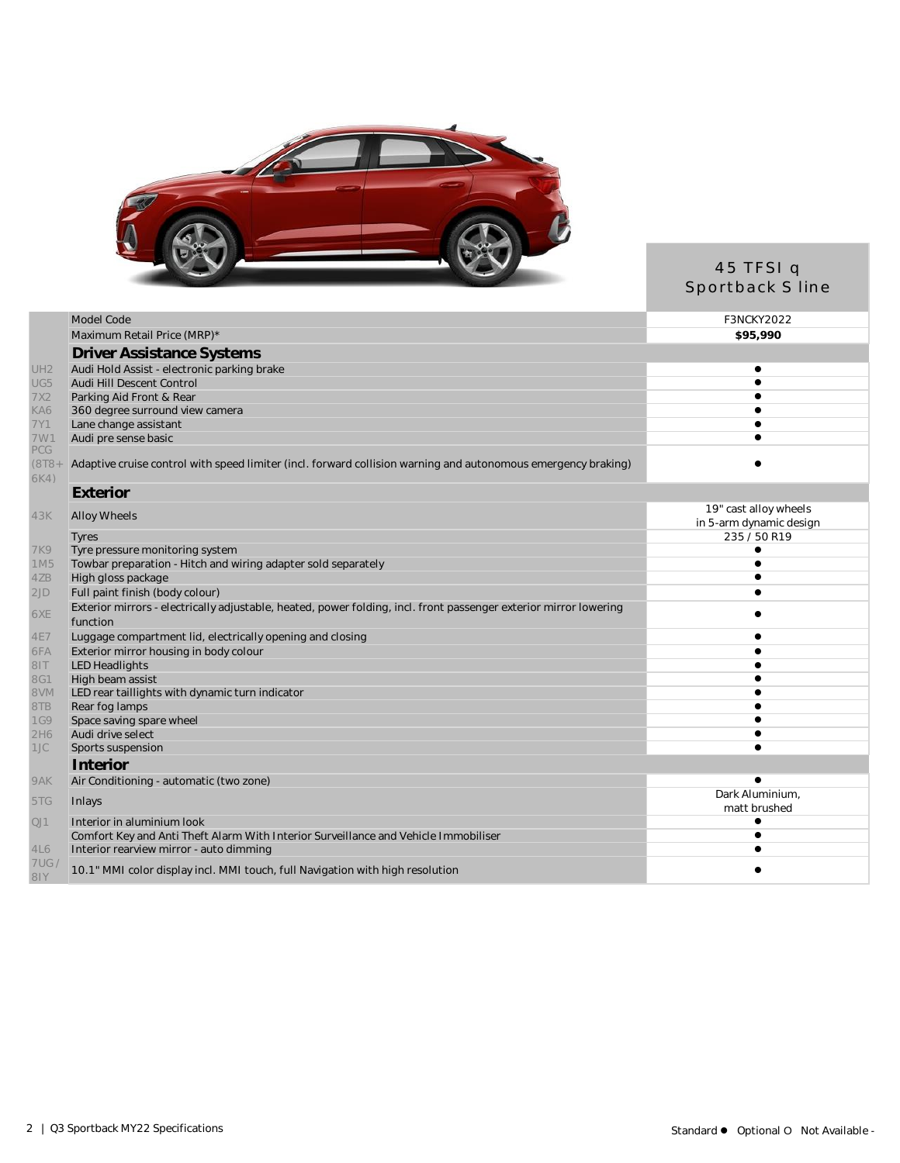

## 45 TFSI q Sportback S line

|                         | Model Code                                                                                                                    | <b>F3NCKY2022</b>               |
|-------------------------|-------------------------------------------------------------------------------------------------------------------------------|---------------------------------|
|                         | Maximum Retail Price (MRP)*                                                                                                   | \$95,990                        |
|                         | <b>Driver Assistance Systems</b>                                                                                              |                                 |
| UH <sub>2</sub>         | Audi Hold Assist - electronic parking brake                                                                                   | $\bullet$                       |
| UG5                     | Audi Hill Descent Control                                                                                                     |                                 |
| 7X2                     | Parking Aid Front & Rear                                                                                                      |                                 |
| KA6                     | 360 degree surround view camera                                                                                               |                                 |
| 7Y1                     | Lane change assistant                                                                                                         |                                 |
| 7W1                     | Audi pre sense basic                                                                                                          |                                 |
| PCG<br>$(8T8 +$<br>6K4) | Adaptive cruise control with speed limiter (incl. forward collision warning and autonomous emergency braking)                 |                                 |
|                         | Exterior                                                                                                                      |                                 |
| 43K                     | <b>Alloy Wheels</b>                                                                                                           | 19" cast alloy wheels           |
|                         |                                                                                                                               | in 5-arm dynamic design         |
|                         | Tyres                                                                                                                         | 235 / 50 R19                    |
| <b>7K9</b>              | Tyre pressure monitoring system                                                                                               |                                 |
| 1M5                     | Towbar preparation - Hitch and wiring adapter sold separately                                                                 |                                 |
| 4ZB                     | High gloss package                                                                                                            |                                 |
| 2JD                     | Full paint finish (body colour)                                                                                               |                                 |
| 6XE                     | Exterior mirrors - electrically adjustable, heated, power folding, incl. front passenger exterior mirror lowering<br>function |                                 |
| <b>4E7</b>              | Luggage compartment lid, electrically opening and closing                                                                     |                                 |
| 6FA                     | Exterior mirror housing in body colour                                                                                        |                                 |
| 81T                     | <b>LED Headlights</b>                                                                                                         |                                 |
| 8G1                     | High beam assist                                                                                                              |                                 |
| <b>NV8</b>              | LED rear taillights with dynamic turn indicator                                                                               |                                 |
| 8TB                     | Rear fog lamps                                                                                                                |                                 |
| <b>1G9</b>              | Space saving spare wheel                                                                                                      |                                 |
| 2H6                     | Audi drive select                                                                                                             |                                 |
| 1JC                     | Sports suspension                                                                                                             |                                 |
|                         | Interior                                                                                                                      |                                 |
| 9AK                     | Air Conditioning - automatic (two zone)                                                                                       |                                 |
| 5TG                     | Inlays                                                                                                                        | Dark Aluminium,<br>matt brushed |
| QJ1                     | Interior in aluminium look                                                                                                    |                                 |
|                         | Comfort Key and Anti Theft Alarm With Interior Surveillance and Vehicle Immobiliser                                           |                                 |
| 4L6                     | Interior rearview mirror - auto dimming                                                                                       |                                 |
| 7US/<br>81Y             | 10.1" MMI color display incl. MMI touch, full Navigation with high resolution                                                 |                                 |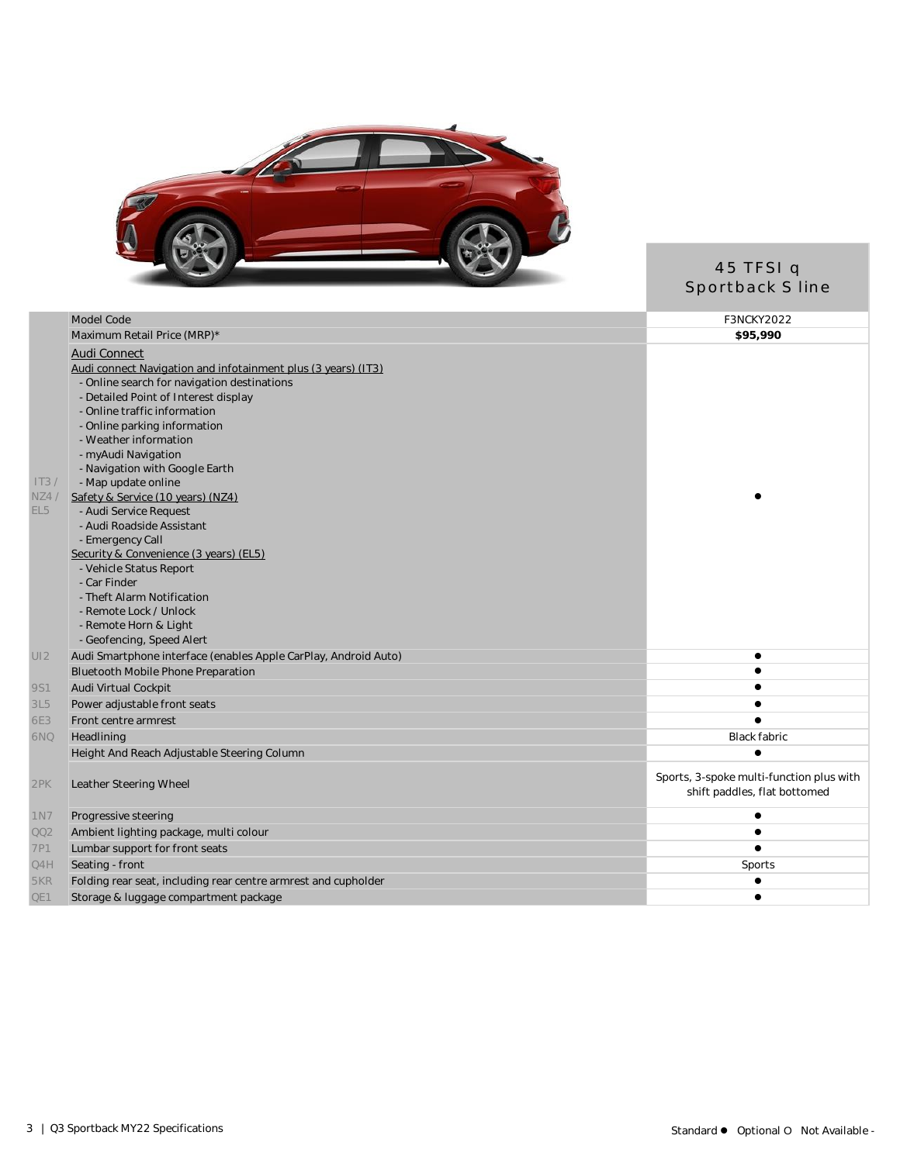

#### 45 TFSI q Sportback S line

| Model Code                                                     | F3NCKY2022                                                                                                                                                                                                                                                                                                                                                                                                                                                                                                                                                                                                                                                      |
|----------------------------------------------------------------|-----------------------------------------------------------------------------------------------------------------------------------------------------------------------------------------------------------------------------------------------------------------------------------------------------------------------------------------------------------------------------------------------------------------------------------------------------------------------------------------------------------------------------------------------------------------------------------------------------------------------------------------------------------------|
| Maximum Retail Price (MRP)*                                    | \$95,990                                                                                                                                                                                                                                                                                                                                                                                                                                                                                                                                                                                                                                                        |
| Audi Connect                                                   |                                                                                                                                                                                                                                                                                                                                                                                                                                                                                                                                                                                                                                                                 |
|                                                                |                                                                                                                                                                                                                                                                                                                                                                                                                                                                                                                                                                                                                                                                 |
| - Online search for navigation destinations                    |                                                                                                                                                                                                                                                                                                                                                                                                                                                                                                                                                                                                                                                                 |
| - Detailed Point of Interest display                           |                                                                                                                                                                                                                                                                                                                                                                                                                                                                                                                                                                                                                                                                 |
| - Online traffic information                                   |                                                                                                                                                                                                                                                                                                                                                                                                                                                                                                                                                                                                                                                                 |
| - Online parking information                                   |                                                                                                                                                                                                                                                                                                                                                                                                                                                                                                                                                                                                                                                                 |
| - Weather information                                          |                                                                                                                                                                                                                                                                                                                                                                                                                                                                                                                                                                                                                                                                 |
| - myAudi Navigation                                            |                                                                                                                                                                                                                                                                                                                                                                                                                                                                                                                                                                                                                                                                 |
| - Navigation with Google Earth                                 |                                                                                                                                                                                                                                                                                                                                                                                                                                                                                                                                                                                                                                                                 |
|                                                                |                                                                                                                                                                                                                                                                                                                                                                                                                                                                                                                                                                                                                                                                 |
|                                                                |                                                                                                                                                                                                                                                                                                                                                                                                                                                                                                                                                                                                                                                                 |
|                                                                |                                                                                                                                                                                                                                                                                                                                                                                                                                                                                                                                                                                                                                                                 |
|                                                                |                                                                                                                                                                                                                                                                                                                                                                                                                                                                                                                                                                                                                                                                 |
|                                                                |                                                                                                                                                                                                                                                                                                                                                                                                                                                                                                                                                                                                                                                                 |
|                                                                |                                                                                                                                                                                                                                                                                                                                                                                                                                                                                                                                                                                                                                                                 |
|                                                                |                                                                                                                                                                                                                                                                                                                                                                                                                                                                                                                                                                                                                                                                 |
|                                                                |                                                                                                                                                                                                                                                                                                                                                                                                                                                                                                                                                                                                                                                                 |
|                                                                |                                                                                                                                                                                                                                                                                                                                                                                                                                                                                                                                                                                                                                                                 |
|                                                                |                                                                                                                                                                                                                                                                                                                                                                                                                                                                                                                                                                                                                                                                 |
|                                                                |                                                                                                                                                                                                                                                                                                                                                                                                                                                                                                                                                                                                                                                                 |
|                                                                | $\bullet$                                                                                                                                                                                                                                                                                                                                                                                                                                                                                                                                                                                                                                                       |
|                                                                | $\bullet$                                                                                                                                                                                                                                                                                                                                                                                                                                                                                                                                                                                                                                                       |
|                                                                |                                                                                                                                                                                                                                                                                                                                                                                                                                                                                                                                                                                                                                                                 |
|                                                                |                                                                                                                                                                                                                                                                                                                                                                                                                                                                                                                                                                                                                                                                 |
|                                                                |                                                                                                                                                                                                                                                                                                                                                                                                                                                                                                                                                                                                                                                                 |
|                                                                |                                                                                                                                                                                                                                                                                                                                                                                                                                                                                                                                                                                                                                                                 |
|                                                                | Black fabric                                                                                                                                                                                                                                                                                                                                                                                                                                                                                                                                                                                                                                                    |
|                                                                | $\bullet$                                                                                                                                                                                                                                                                                                                                                                                                                                                                                                                                                                                                                                                       |
|                                                                | Sports, 3-spoke multi-function plus with                                                                                                                                                                                                                                                                                                                                                                                                                                                                                                                                                                                                                        |
| Leather Steering Wheel                                         | shift paddles, flat bottomed                                                                                                                                                                                                                                                                                                                                                                                                                                                                                                                                                                                                                                    |
|                                                                |                                                                                                                                                                                                                                                                                                                                                                                                                                                                                                                                                                                                                                                                 |
| Progressive steering                                           | $\bullet$                                                                                                                                                                                                                                                                                                                                                                                                                                                                                                                                                                                                                                                       |
| Ambient lighting package, multi colour                         | $\bullet$                                                                                                                                                                                                                                                                                                                                                                                                                                                                                                                                                                                                                                                       |
| Lumbar support for front seats                                 |                                                                                                                                                                                                                                                                                                                                                                                                                                                                                                                                                                                                                                                                 |
| Seating - front                                                | Sports                                                                                                                                                                                                                                                                                                                                                                                                                                                                                                                                                                                                                                                          |
| Folding rear seat, including rear centre armrest and cupholder |                                                                                                                                                                                                                                                                                                                                                                                                                                                                                                                                                                                                                                                                 |
| Storage & luggage compartment package                          | $\bullet$                                                                                                                                                                                                                                                                                                                                                                                                                                                                                                                                                                                                                                                       |
|                                                                | Audi connect Navigation and infotainment plus (3 years) (IT3).<br>- Map update online<br>Safety & Service (10 years) (NZ4)<br>- Audi Service Request<br>- Audi Roadside Assistant<br>- Emergency Call<br>Security & Convenience (3 years) (EL5).<br>- Vehicle Status Report<br>- Car Finder<br>- Theft Alarm Notification<br>- Remote Lock / Unlock<br>- Remote Horn & Light<br>- Geofencing, Speed Alert<br>Audi Smartphone interface (enables Apple CarPlay, Android Auto)<br>Bluetooth Mobile Phone Preparation<br>Audi Virtual Cockpit<br>Power adjustable front seats<br>Front centre armrest<br>Headlining<br>Height And Reach Adjustable Steering Column |